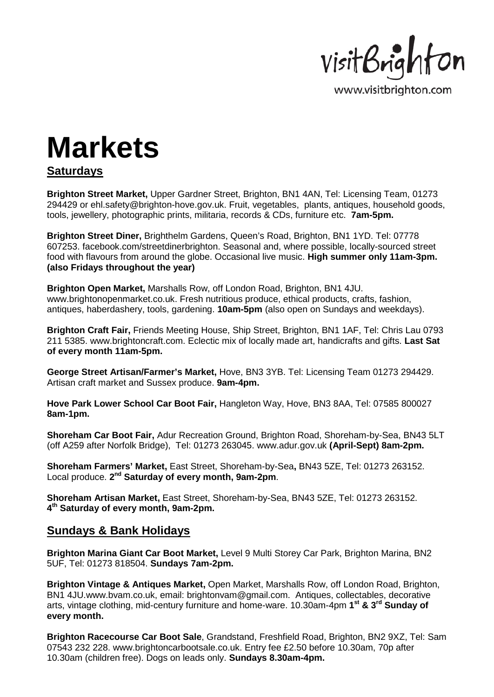

## **Markets**

## **Saturdays**

**Brighton Street Market,** Upper Gardner Street, Brighton, BN1 4AN, Tel: Licensing Team, 01273 294429 or ehl.safety@brighton-hove.gov.uk. Fruit, vegetables, plants, antiques, household goods, tools, jewellery, photographic prints, militaria, records & CDs, furniture etc. **7am-5pm.**

**Brighton Street Diner,** Brighthelm Gardens, Queen's Road, Brighton, BN1 1YD. Tel: 07778 607253. facebook.com/streetdinerbrighton. Seasonal and, where possible, locally-sourced street food with flavours from around the globe. Occasional live music. **High summer only 11am-3pm. (also Fridays throughout the year)** 

**Brighton Open Market,** Marshalls Row, off London Road, Brighton, BN1 4JU. www.brightonopenmarket.co.uk. Fresh nutritious produce, ethical products, crafts, fashion, antiques, haberdashery, tools, gardening. **10am-5pm** (also open on Sundays and weekdays).

**Brighton Craft Fair,** Friends Meeting House, Ship Street, Brighton, BN1 1AF, Tel: Chris Lau 0793 211 5385. www.brightoncraft.com. Eclectic mix of locally made art, handicrafts and gifts. **Last Sat of every month 11am-5pm.**

**George Street Artisan/Farmer's Market,** Hove, BN3 3YB. Tel: Licensing Team 01273 294429. Artisan craft market and Sussex produce. **9am-4pm.**

**Hove Park Lower School Car Boot Fair,** Hangleton Way, Hove, BN3 8AA, Tel: 07585 800027 **8am-1pm.** 

**Shoreham Car Boot Fair,** Adur Recreation Ground, Brighton Road, Shoreham-by-Sea, BN43 5LT (off A259 after Norfolk Bridge), Tel: 01273 263045. www.adur.gov.uk **(April-Sept) 8am-2pm.** 

**Shoreham Farmers' Market,** East Street, Shoreham-by-Sea**,** BN43 5ZE, Tel: 01273 263152. Local produce. **2nd Saturday of every month, 9am-2pm**.

**Shoreham Artisan Market,** East Street, Shoreham-by-Sea, BN43 5ZE, Tel: 01273 263152. **4th Saturday of every month, 9am-2pm.** 

## **Sundays & Bank Holidays**

**Brighton Marina Giant Car Boot Market,** Level 9 Multi Storey Car Park, Brighton Marina, BN2 5UF, Tel: 01273 818504. **Sundays 7am-2pm.**

**Brighton Vintage & Antiques Market,** Open Market, Marshalls Row, off London Road, Brighton, BN1 4JU.www.bvam.co.uk, email: brightonvam@gmail.com. Antiques, collectables, decorative arts, vintage clothing, mid-century furniture and home-ware. 10.30am-4pm **1st & 3rd Sunday of every month.** 

**Brighton Racecourse Car Boot Sale**, Grandstand, Freshfield Road, Brighton, BN2 9XZ, Tel: Sam 07543 232 228. www.brightoncarbootsale.co.uk. Entry fee £2.50 before 10.30am, 70p after 10.30am (children free). Dogs on leads only. **Sundays 8.30am-4pm.**